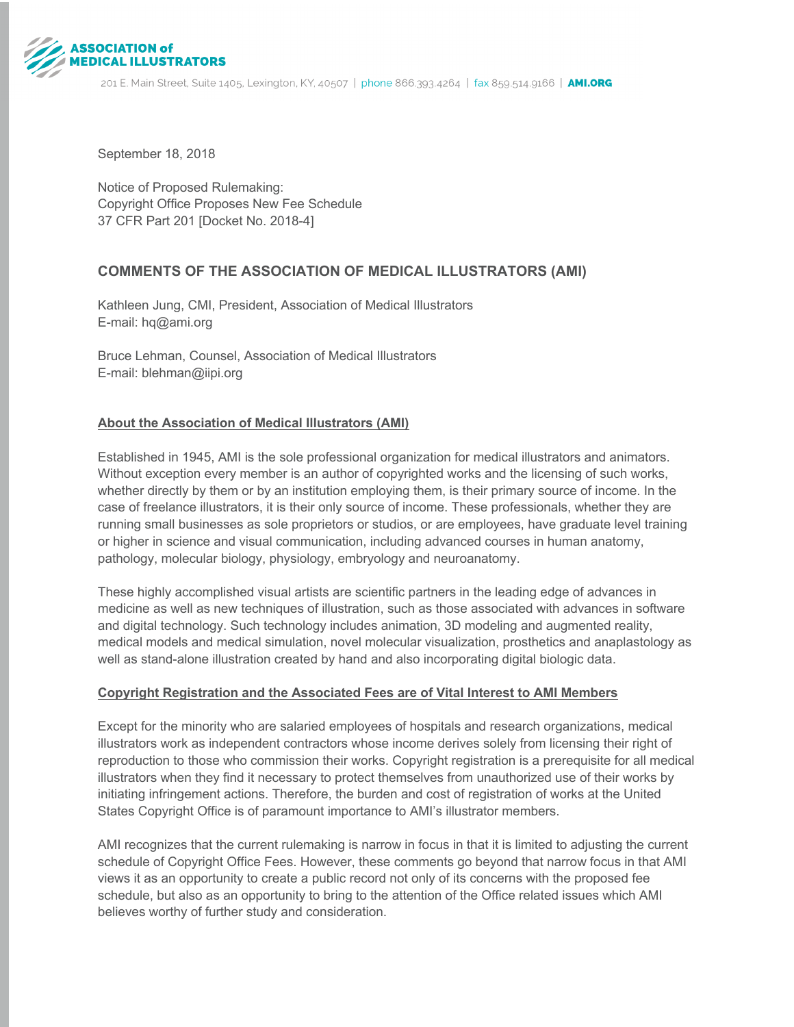

September 18, 2018

Notice of Proposed Rulemaking: Copyright Office Proposes New Fee Schedule 37 CFR Part 201 [Docket No. 2018-4]

# **COMMENTS OF THE ASSOCIATION OF MEDICAL ILLUSTRATORS (AMI)**

Kathleen Jung, CMI, President, Association of Medical Illustrators E-mail: hq@ami.org

Bruce Lehman, Counsel, Association of Medical Illustrators E-mail: blehman@iipi.org

### **About the Association of Medical Illustrators (AMI)**

Established in 1945, AMI is the sole professional organization for medical illustrators and animators. Without exception every member is an author of copyrighted works and the licensing of such works, whether directly by them or by an institution employing them, is their primary source of income. In the case of freelance illustrators, it is their only source of income. These professionals, whether they are running small businesses as sole proprietors or studios, or are employees, have graduate level training or higher in science and visual communication, including advanced courses in human anatomy, pathology, molecular biology, physiology, embryology and neuroanatomy.

These highly accomplished visual artists are scientific partners in the leading edge of advances in medicine as well as new techniques of illustration, such as those associated with advances in software and digital technology. Such technology includes animation, 3D modeling and augmented reality, medical models and medical simulation, novel molecular visualization, prosthetics and anaplastology as well as stand-alone illustration created by hand and also incorporating digital biologic data.

### **Copyright Registration and the Associated Fees are of Vital Interest to AMI Members**

Except for the minority who are salaried employees of hospitals and research organizations, medical illustrators work as independent contractors whose income derives solely from licensing their right of reproduction to those who commission their works. Copyright registration is a prerequisite for all medical illustrators when they find it necessary to protect themselves from unauthorized use of their works by initiating infringement actions. Therefore, the burden and cost of registration of works at the United States Copyright Office is of paramount importance to AMI's illustrator members.

AMI recognizes that the current rulemaking is narrow in focus in that it is limited to adjusting the current schedule of Copyright Office Fees. However, these comments go beyond that narrow focus in that AMI views it as an opportunity to create a public record not only of its concerns with the proposed fee schedule, but also as an opportunity to bring to the attention of the Office related issues which AMI believes worthy of further study and consideration.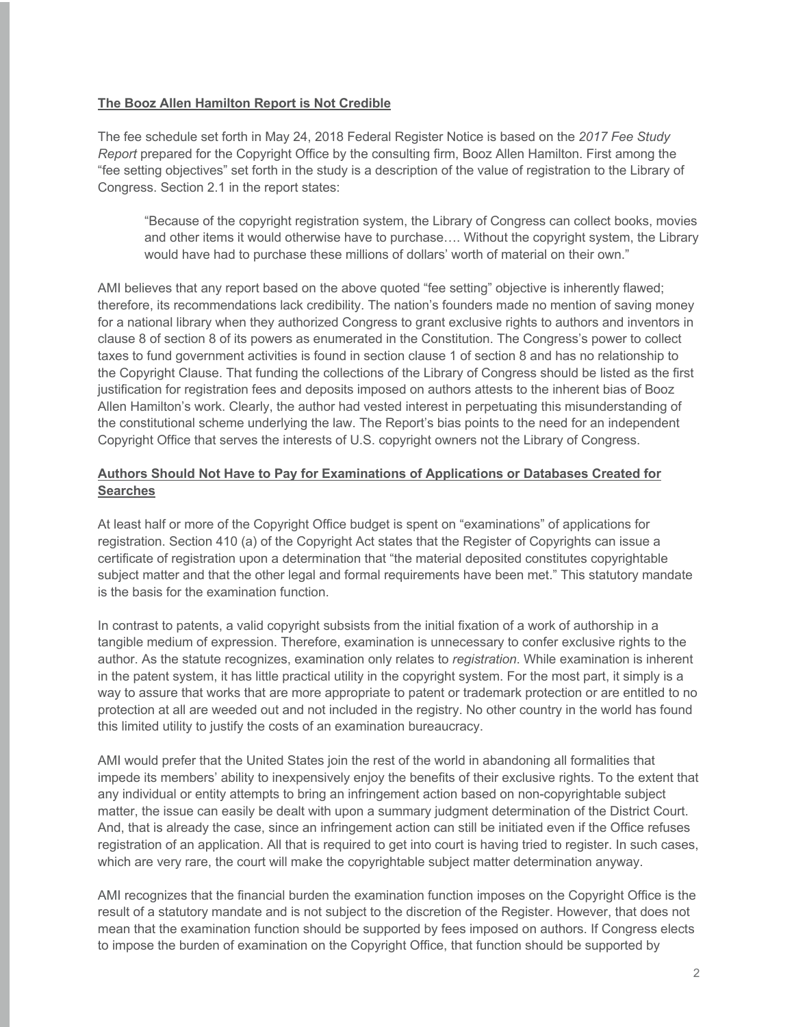#### **The Booz Allen Hamilton Report is Not Credible**

The fee schedule set forth in May 24, 2018 Federal Register Notice is based on the *2017 Fee Study Report* prepared for the Copyright Office by the consulting firm, Booz Allen Hamilton. First among the "fee setting objectives" set forth in the study is a description of the value of registration to the Library of Congress. Section 2.1 in the report states:

"Because of the copyright registration system, the Library of Congress can collect books, movies and other items it would otherwise have to purchase…. Without the copyright system, the Library would have had to purchase these millions of dollars' worth of material on their own."

AMI believes that any report based on the above quoted "fee setting" objective is inherently flawed; therefore, its recommendations lack credibility. The nation's founders made no mention of saving money for a national library when they authorized Congress to grant exclusive rights to authors and inventors in clause 8 of section 8 of its powers as enumerated in the Constitution. The Congress's power to collect taxes to fund government activities is found in section clause 1 of section 8 and has no relationship to the Copyright Clause. That funding the collections of the Library of Congress should be listed as the first justification for registration fees and deposits imposed on authors attests to the inherent bias of Booz Allen Hamilton's work. Clearly, the author had vested interest in perpetuating this misunderstanding of the constitutional scheme underlying the law. The Report's bias points to the need for an independent Copyright Office that serves the interests of U.S. copyright owners not the Library of Congress.

## **Authors Should Not Have to Pay for Examinations of Applications or Databases Created for Searches**

At least half or more of the Copyright Office budget is spent on "examinations" of applications for registration. Section 410 (a) of the Copyright Act states that the Register of Copyrights can issue a certificate of registration upon a determination that "the material deposited constitutes copyrightable subject matter and that the other legal and formal requirements have been met." This statutory mandate is the basis for the examination function.

In contrast to patents, a valid copyright subsists from the initial fixation of a work of authorship in a tangible medium of expression. Therefore, examination is unnecessary to confer exclusive rights to the author. As the statute recognizes, examination only relates to *registration*. While examination is inherent in the patent system, it has little practical utility in the copyright system. For the most part, it simply is a way to assure that works that are more appropriate to patent or trademark protection or are entitled to no protection at all are weeded out and not included in the registry. No other country in the world has found this limited utility to justify the costs of an examination bureaucracy.

AMI would prefer that the United States join the rest of the world in abandoning all formalities that impede its members' ability to inexpensively enjoy the benefits of their exclusive rights. To the extent that any individual or entity attempts to bring an infringement action based on non-copyrightable subject matter, the issue can easily be dealt with upon a summary judgment determination of the District Court. And, that is already the case, since an infringement action can still be initiated even if the Office refuses registration of an application. All that is required to get into court is having tried to register. In such cases, which are very rare, the court will make the copyrightable subject matter determination anyway.

AMI recognizes that the financial burden the examination function imposes on the Copyright Office is the result of a statutory mandate and is not subject to the discretion of the Register. However, that does not mean that the examination function should be supported by fees imposed on authors. If Congress elects to impose the burden of examination on the Copyright Office, that function should be supported by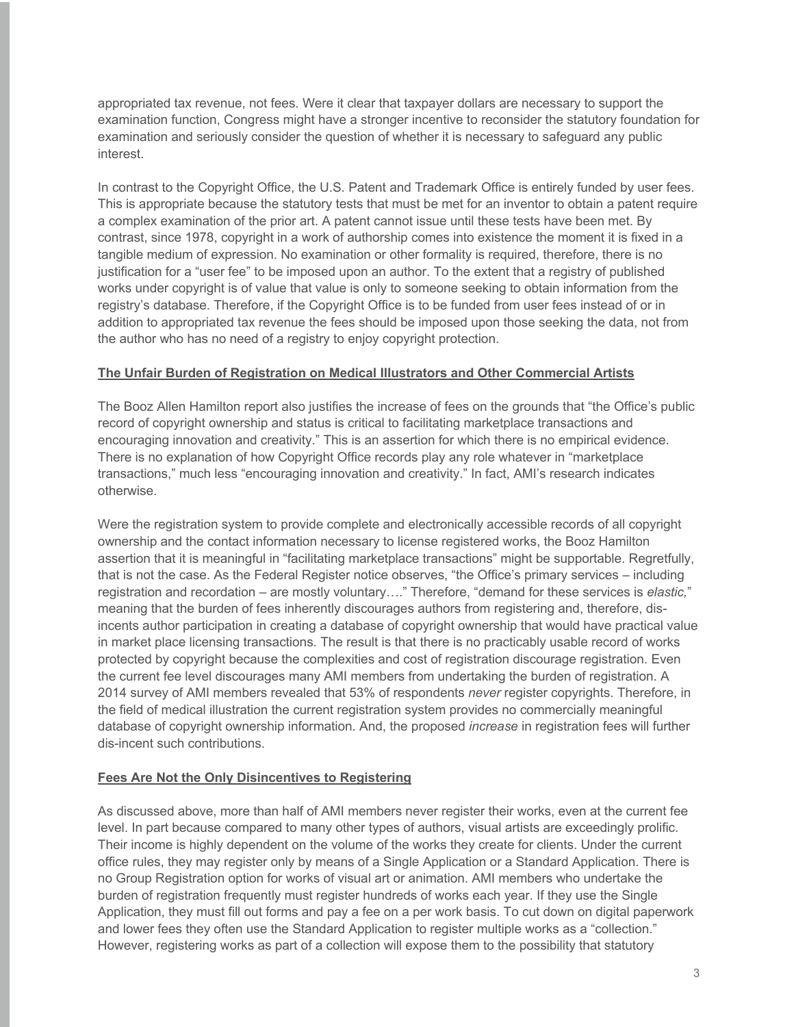appropriated tax revenue, not fees. Were it clear that taxpayer dollars are necessary to support the examination function, Congress might have a stronger incentive to reconsider the statutory foundation for examination and seriously consider the question of whether it is necessary to safeguard any public interest.

In contrast to the Copyright Office, the U.S. Patent and Trademark Office is entirely funded by user fees. This is appropriate because the statutory tests that must be met for an inventor to obtain a patent require a complex examination of the prior art. A patent cannot issue until these tests have been met. By contrast, since 1978, copyright in a work of authorship comes into existence the moment it is fixed in a tangible medium of expression. No examination or other formality is required, therefore, there is no justification for a "user fee" to be imposed upon an author. To the extent that a registry of published works under copyright is of value that value is only to someone seeking to obtain information from the registry's database. Therefore, if the Copyright Office is to be funded from user fees instead of or in addition to appropriated tax revenue the fees should be imposed upon those seeking the data, not from the author who has no need of a registry to enjoy copyright protection.

#### **The Unfair Burden of Registration on Medical Illustrators and Other Commercial Artists**

The Booz Allen Hamilton report also justifies the increase of fees on the grounds that "the Office's public record of copyright ownership and status is critical to facilitating marketplace transactions and encouraging innovation and creativity." This is an assertion for which there is no empirical evidence. There is no explanation of how Copyright Office records play any role whatever in "marketplace transactions," much less "encouraging innovation and creativity." In fact, AMI's research indicates otherwise.

Were the registration system to provide complete and electronically accessible records of all copyright ownership and the contact information necessary to license registered works, the Booz Hamilton assertion that it is meaningful in "facilitating marketplace transactions" might be supportable. Regretfully, that is not the case. As the Federal Register notice observes, "the Office's primary services – including registration and recordation – are mostly voluntary…." Therefore, "demand for these services is *elastic,*" meaning that the burden of fees inherently discourages authors from registering and, therefore, disincents author participation in creating a database of copyright ownership that would have practical value in market place licensing transactions. The result is that there is no practicably usable record of works protected by copyright because the complexities and cost of registration discourage registration. Even the current fee level discourages many AMI members from undertaking the burden of registration. A 2014 survey of AMI members revealed that 53% of respondents *never* register copyrights. Therefore, in the field of medical illustration the current registration system provides no commercially meaningful database of copyright ownership information. And, the proposed *increase* in registration fees will further dis-incent such contributions.

### **Fees Are Not the Only Disincentives to Registering**

As discussed above, more than half of AMI members never register their works, even at the current fee level. In part because compared to many other types of authors, visual artists are exceedingly prolific. Their income is highly dependent on the volume of the works they create for clients. Under the current office rules, they may register only by means of a Single Application or a Standard Application. There is no Group Registration option for works of visual art or animation. AMI members who undertake the burden of registration frequently must register hundreds of works each year. If they use the Single Application, they must fill out forms and pay a fee on a per work basis. To cut down on digital paperwork and lower fees they often use the Standard Application to register multiple works as a "collection." However, registering works as part of a collection will expose them to the possibility that statutory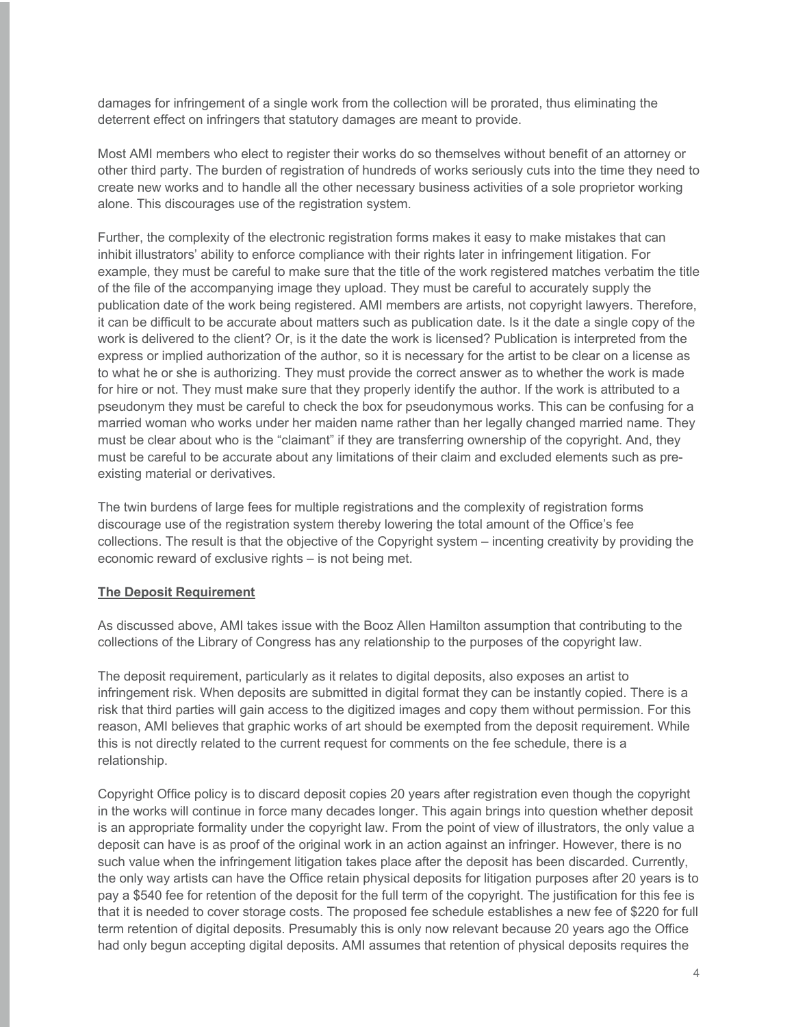damages for infringement of a single work from the collection will be prorated, thus eliminating the deterrent effect on infringers that statutory damages are meant to provide.

Most AMI members who elect to register their works do so themselves without benefit of an attorney or other third party. The burden of registration of hundreds of works seriously cuts into the time they need to create new works and to handle all the other necessary business activities of a sole proprietor working alone. This discourages use of the registration system.

Further, the complexity of the electronic registration forms makes it easy to make mistakes that can inhibit illustrators' ability to enforce compliance with their rights later in infringement litigation. For example, they must be careful to make sure that the title of the work registered matches verbatim the title of the file of the accompanying image they upload. They must be careful to accurately supply the publication date of the work being registered. AMI members are artists, not copyright lawyers. Therefore, it can be difficult to be accurate about matters such as publication date. Is it the date a single copy of the work is delivered to the client? Or, is it the date the work is licensed? Publication is interpreted from the express or implied authorization of the author, so it is necessary for the artist to be clear on a license as to what he or she is authorizing. They must provide the correct answer as to whether the work is made for hire or not. They must make sure that they properly identify the author. If the work is attributed to a pseudonym they must be careful to check the box for pseudonymous works. This can be confusing for a married woman who works under her maiden name rather than her legally changed married name. They must be clear about who is the "claimant" if they are transferring ownership of the copyright. And, they must be careful to be accurate about any limitations of their claim and excluded elements such as preexisting material or derivatives.

The twin burdens of large fees for multiple registrations and the complexity of registration forms discourage use of the registration system thereby lowering the total amount of the Office's fee collections. The result is that the objective of the Copyright system – incenting creativity by providing the economic reward of exclusive rights – is not being met.

#### **The Deposit Requirement**

As discussed above, AMI takes issue with the Booz Allen Hamilton assumption that contributing to the collections of the Library of Congress has any relationship to the purposes of the copyright law.

The deposit requirement, particularly as it relates to digital deposits, also exposes an artist to infringement risk. When deposits are submitted in digital format they can be instantly copied. There is a risk that third parties will gain access to the digitized images and copy them without permission. For this reason, AMI believes that graphic works of art should be exempted from the deposit requirement. While this is not directly related to the current request for comments on the fee schedule, there is a relationship.

Copyright Office policy is to discard deposit copies 20 years after registration even though the copyright in the works will continue in force many decades longer. This again brings into question whether deposit is an appropriate formality under the copyright law. From the point of view of illustrators, the only value a deposit can have is as proof of the original work in an action against an infringer. However, there is no such value when the infringement litigation takes place after the deposit has been discarded. Currently, the only way artists can have the Office retain physical deposits for litigation purposes after 20 years is to pay a \$540 fee for retention of the deposit for the full term of the copyright. The justification for this fee is that it is needed to cover storage costs. The proposed fee schedule establishes a new fee of \$220 for full term retention of digital deposits. Presumably this is only now relevant because 20 years ago the Office had only begun accepting digital deposits. AMI assumes that retention of physical deposits requires the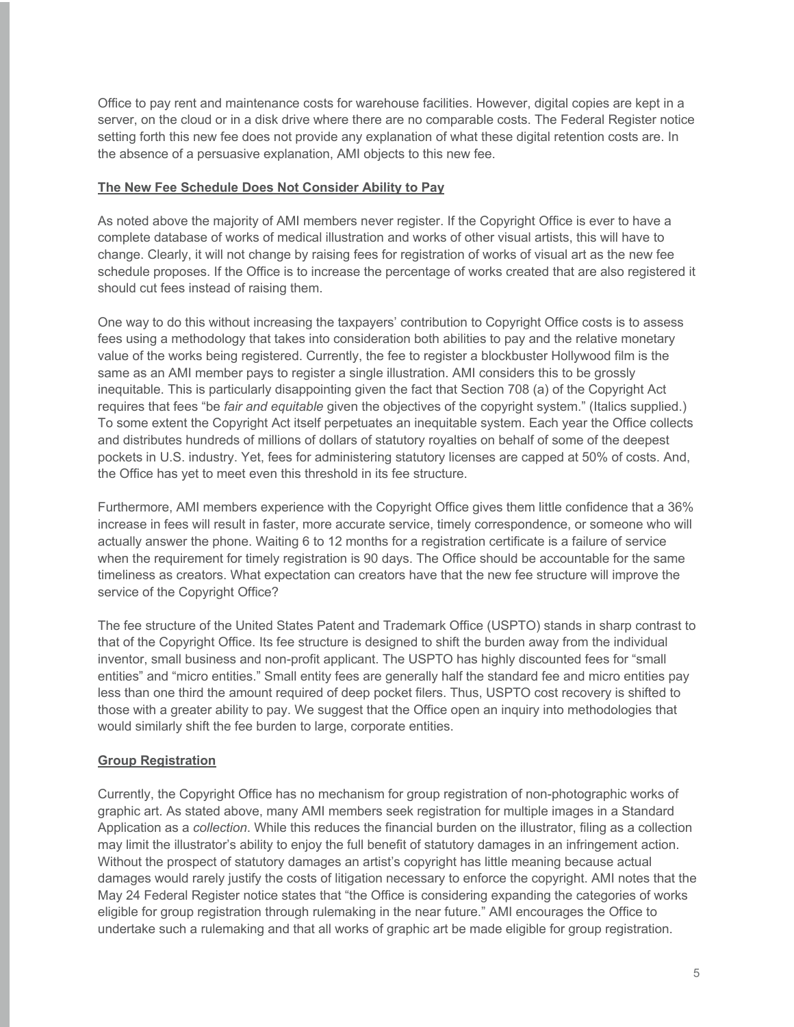Office to pay rent and maintenance costs for warehouse facilities. However, digital copies are kept in a server, on the cloud or in a disk drive where there are no comparable costs. The Federal Register notice setting forth this new fee does not provide any explanation of what these digital retention costs are. In the absence of a persuasive explanation, AMI objects to this new fee.

#### **The New Fee Schedule Does Not Consider Ability to Pay**

As noted above the majority of AMI members never register. If the Copyright Office is ever to have a complete database of works of medical illustration and works of other visual artists, this will have to change. Clearly, it will not change by raising fees for registration of works of visual art as the new fee schedule proposes. If the Office is to increase the percentage of works created that are also registered it should cut fees instead of raising them.

One way to do this without increasing the taxpayers' contribution to Copyright Office costs is to assess fees using a methodology that takes into consideration both abilities to pay and the relative monetary value of the works being registered. Currently, the fee to register a blockbuster Hollywood film is the same as an AMI member pays to register a single illustration. AMI considers this to be grossly inequitable. This is particularly disappointing given the fact that Section 708 (a) of the Copyright Act requires that fees "be *fair and equitable* given the objectives of the copyright system." (Italics supplied.) To some extent the Copyright Act itself perpetuates an inequitable system. Each year the Office collects and distributes hundreds of millions of dollars of statutory royalties on behalf of some of the deepest pockets in U.S. industry. Yet, fees for administering statutory licenses are capped at 50% of costs. And, the Office has yet to meet even this threshold in its fee structure.

Furthermore, AMI members experience with the Copyright Office gives them little confidence that a 36% increase in fees will result in faster, more accurate service, timely correspondence, or someone who will actually answer the phone. Waiting 6 to 12 months for a registration certificate is a failure of service when the requirement for timely registration is 90 days. The Office should be accountable for the same timeliness as creators. What expectation can creators have that the new fee structure will improve the service of the Copyright Office?

The fee structure of the United States Patent and Trademark Office (USPTO) stands in sharp contrast to that of the Copyright Office. Its fee structure is designed to shift the burden away from the individual inventor, small business and non-profit applicant. The USPTO has highly discounted fees for "small entities" and "micro entities." Small entity fees are generally half the standard fee and micro entities pay less than one third the amount required of deep pocket filers. Thus, USPTO cost recovery is shifted to those with a greater ability to pay. We suggest that the Office open an inquiry into methodologies that would similarly shift the fee burden to large, corporate entities.

### **Group Registration**

Currently, the Copyright Office has no mechanism for group registration of non-photographic works of graphic art. As stated above, many AMI members seek registration for multiple images in a Standard Application as a *collection*. While this reduces the financial burden on the illustrator, filing as a collection may limit the illustrator's ability to enjoy the full benefit of statutory damages in an infringement action. Without the prospect of statutory damages an artist's copyright has little meaning because actual damages would rarely justify the costs of litigation necessary to enforce the copyright. AMI notes that the May 24 Federal Register notice states that "the Office is considering expanding the categories of works eligible for group registration through rulemaking in the near future." AMI encourages the Office to undertake such a rulemaking and that all works of graphic art be made eligible for group registration.